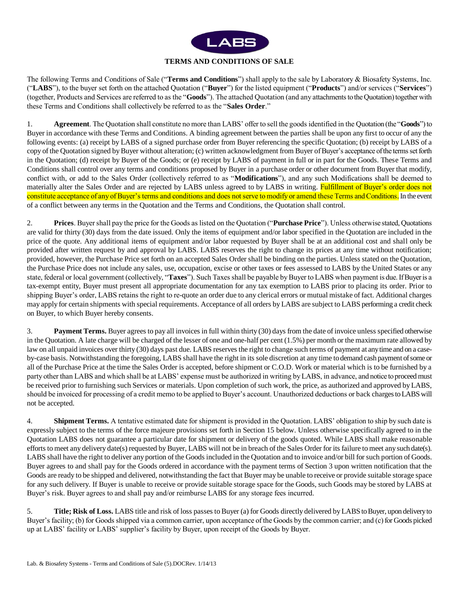

# **TERMS AND CONDITIONS OF SALE**

The following Terms and Conditions of Sale ("**Terms and Conditions**") shall apply to the sale by Laboratory & Biosafety Systems, Inc. ("**LABS**"), to the buyer set forth on the attached Quotation ("**Buyer**") for the listed equipment ("**Products**") and/or services ("**Services**") (together, Products and Services are referred to as the "**Goods**"). The attached Quotation (and any attachments to the Quotation) together with these Terms and Conditions shall collectively be referred to as the "**Sales Order**."

1. **Agreement**. The Quotation shall constitute no more than LABS' offer to sell the goods identified in the Quotation (the "**Goods**") to Buyer in accordance with these Terms and Conditions. A binding agreement between the parties shall be upon any first to occur of any the following events: (a) receipt by LABS of a signed purchase order from Buyer referencing the specific Quotation; (b) receipt by LABS of a copy of the Quotation signed by Buyer without alteration; (c) written acknowledgment from Buyer of Buyer's acceptance of the terms set forth in the Quotation; (d) receipt by Buyer of the Goods; or (e) receipt by LABS of payment in full or in part for the Goods. These Terms and Conditions shall control over any terms and conditions proposed by Buyer in a purchase order or other document from Buyer that modify, conflict with, or add to the Sales Order (collectively referred to as "**Modifications**"), and any such Modifications shall be deemed to materially alter the Sales Order and are rejected by LABS unless agreed to by LABS in writing. Fulfillment of Buyer's order does not constitute acceptance of any of Buyer's terms and conditions and does not serve to modify or amend these Terms and Conditions. In the event of a conflict between any terms in the Quotation and the Terms and Conditions, the Quotation shall control.

2. **Prices**. Buyer shall pay the price for the Goods as listed on the Quotation ("**Purchase Price**"). Unless otherwise stated, Quotations are valid for thirty (30) days from the date issued. Only the items of equipment and/or labor specified in the Quotation are included in the price of the quote. Any additional items of equipment and/or labor requested by Buyer shall be at an additional cost and shall only be provided after written request by and approval by LABS. LABS reserves the right to change its prices at any time without notification; provided, however, the Purchase Price set forth on an accepted Sales Order shall be binding on the parties. Unless stated on the Quotation, the Purchase Price does not include any sales, use, occupation, excise or other taxes or fees assessed to LABS by the United States or any state, federal or local government (collectively, "**Taxes**"). Such Taxes shall be payable by Buyer to LABS when payment is due. If Buyer is a tax-exempt entity, Buyer must present all appropriate documentation for any tax exemption to LABS prior to placing its order. Prior to shipping Buyer's order, LABS retains the right to re-quote an order due to any clerical errors or mutual mistake of fact. Additional charges may apply for certain shipments with special requirements. Acceptance of all orders by LABS are subject to LABS performing a credit check on Buyer, to which Buyer hereby consents.

3. **Payment Terms.** Buyer agrees to pay all invoices in full within thirty (30) days from the date of invoice unless specified otherwise in the Quotation. A late charge will be charged of the lesser of one and one-half per cent (1.5%) per month or the maximum rate allowed by law on all unpaid invoices over thirty (30) days past due. LABS reserves the right to change such terms of payment at any time and on a caseby-case basis. Notwithstanding the foregoing, LABS shall have the right in its sole discretion at any time to demand cash payment of some or all of the Purchase Price at the time the Sales Order is accepted, before shipment or C.O.D. Work or material which is to be furnished by a party other than LABS and which shall be at LABS' expense must be authorized in writing by LABS, in advance, and notice to proceed must be received prior to furnishing such Services or materials. Upon completion of such work, the price, as authorized and approved by LABS, should be invoiced for processing of a credit memo to be applied to Buyer's account. Unauthorized deductions or back charges to LABS will not be accepted.

4. **Shipment Terms.** A tentative estimated date for shipment is provided in the Quotation. LABS' obligation to ship by such date is expressly subject to the terms of the force majeure provisions set forth in Section 15 below. Unless otherwise specifically agreed to in the Quotation LABS does not guarantee a particular date for shipment or delivery of the goods quoted. While LABS shall make reasonable efforts to meet any delivery date(s) requested by Buyer, LABS will not be in breach of the Sales Order for its failure to meet any such date(s). LABS shall have the right to deliver any portion of the Goods included in the Quotation and to invoice and/or bill for such portion of Goods. Buyer agrees to and shall pay for the Goods ordered in accordance with the payment terms of Section 3 upon written notification that the Goods are ready to be shipped and delivered, notwithstanding the fact that Buyer may be unable to receive or provide suitable storage space for any such delivery. If Buyer is unable to receive or provide suitable storage space for the Goods, such Goods may be stored by LABS at Buyer's risk. Buyer agrees to and shall pay and/or reimburse LABS for any storage fees incurred.

5. **Title; Risk of Loss.** LABS title and risk of loss passes to Buyer (a) for Goods directly delivered by LABS to Buyer, upon delivery to Buyer's facility; (b) for Goods shipped via a common carrier, upon acceptance of the Goods by the common carrier; and (c) for Goods picked up at LABS' facility or LABS' supplier's facility by Buyer, upon receipt of the Goods by Buyer.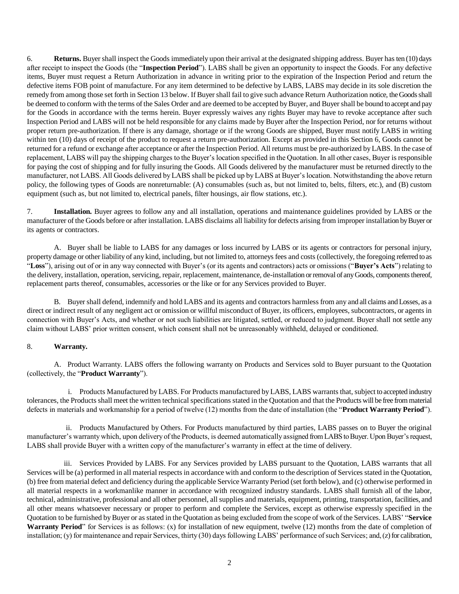6. **Returns.** Buyer shall inspect the Goods immediately upon their arrival at the designated shipping address. Buyer has ten (10) days after receipt to inspect the Goods (the "**Inspection Period**"). LABS shall be given an opportunity to inspect the Goods. For any defective items, Buyer must request a Return Authorization in advance in writing prior to the expiration of the Inspection Period and return the defective items FOB point of manufacture. For any item determined to be defective by LABS, LABS may decide in its sole discretion the remedy from among those set forth in Section 13 below. If Buyer shall fail to give such advance Return Authorization notice, the Goods shall be deemed to conform with the terms of the Sales Order and are deemed to be accepted by Buyer, and Buyer shall be bound to accept and pay for the Goods in accordance with the terms herein. Buyer expressly waives any rights Buyer may have to revoke acceptance after such Inspection Period and LABS will not be held responsible for any claims made by Buyer after the Inspection Period, nor for returns without proper return pre-authorization. If there is any damage, shortage or if the wrong Goods are shipped, Buyer must notify LABS in writing within ten (10) days of receipt of the product to request a return pre-authorization. Except as provided in this Section 6, Goods cannot be returned for a refund or exchange after acceptance or after the Inspection Period. All returns must be pre-authorized by LABS. In the case of replacement, LABS will pay the shipping charges to the Buyer's location specified in the Quotation. In all other cases, Buyer is responsible for paying the cost of shipping and for fully insuring the Goods. All Goods delivered by the manufacturer must be returned directly to the manufacturer, not LABS. All Goods delivered by LABS shall be picked up by LABS at Buyer's location. Notwithstanding the above return policy, the following types of Goods are nonreturnable: (A) consumables (such as, but not limited to, belts, filters, etc.), and (B) custom equipment (such as, but not limited to, electrical panels, filter housings, air flow stations, etc.).

7. **Installation.** Buyer agrees to follow any and all installation, operations and maintenance guidelines provided by LABS or the manufacturer of the Goods before or after installation. LABS disclaims all liability for defects arising from improper installation by Buyer or its agents or contractors.

A. Buyer shall be liable to LABS for any damages or loss incurred by LABS or its agents or contractors for personal injury, property damage or other liability of any kind, including, but not limited to, attorneys fees and costs (collectively, the foregoing referred to as "**Loss**"), arising out of or in any way connected with Buyer's (or its agents and contractors) acts or omissions ("**Buyer's Acts**") relating to the delivery, installation, operation, servicing, repair, replacement, maintenance, de-installation or removal of any Goods, components thereof, replacement parts thereof, consumables, accessories or the like or for any Services provided to Buyer.

B. Buyer shall defend, indemnify and hold LABS and its agents and contractors harmless from any and all claims and Losses, as a direct or indirect result of any negligent act or omission or willful misconduct of Buyer, its officers, employees, subcontractors, or agents in connection with Buyer's Acts, and whether or not such liabilities are litigated, settled, or reduced to judgment. Buyer shall not settle any claim without LABS' prior written consent, which consent shall not be unreasonably withheld, delayed or conditioned.

## 8. **Warranty.**

A. Product Warranty. LABS offers the following warranty on Products and Services sold to Buyer pursuant to the Quotation (collectively, the "**Product Warranty**").

i. Products Manufactured by LABS. For Products manufactured by LABS, LABS warrants that, subject to accepted industry tolerances, the Products shall meet the written technical specifications stated in the Quotation and that the Products will be free from material defects in materials and workmanship for a period of twelve (12) months from the date of installation (the "**Product Warranty Period**").

ii. Products Manufactured by Others. For Products manufactured by third parties, LABS passes on to Buyer the original manufacturer's warranty which, upon delivery of the Products, is deemed automatically assigned from LABS to Buyer. Upon Buyer's request, LABS shall provide Buyer with a written copy of the manufacturer's warranty in effect at the time of delivery.

iii. Services Provided by LABS. For any Services provided by LABS pursuant to the Quotation, LABS warrants that all Services will be (a) performed in all material respects in accordance with and conform to the description of Services stated in the Quotation, (b) free from material defect and deficiency during the applicable Service Warranty Period (set forth below), and (c) otherwise performed in all material respects in a workmanlike manner in accordance with recognized industry standards. LABS shall furnish all of the labor, technical, administrative, professional and all other personnel, all supplies and materials, equipment, printing, transportation, facilities, and all other means whatsoever necessary or proper to perform and complete the Services, except as otherwise expressly specified in the Quotation to be furnished by Buyer or as stated in the Quotation as being excluded from the scope of work of the Services. LABS' "**Service Warranty Period**" for Services is as follows: (x) for installation of new equipment, twelve (12) months from the date of completion of installation; (y) for maintenance and repair Services, thirty (30) days following LABS' performance of such Services; and, (z) for calibration,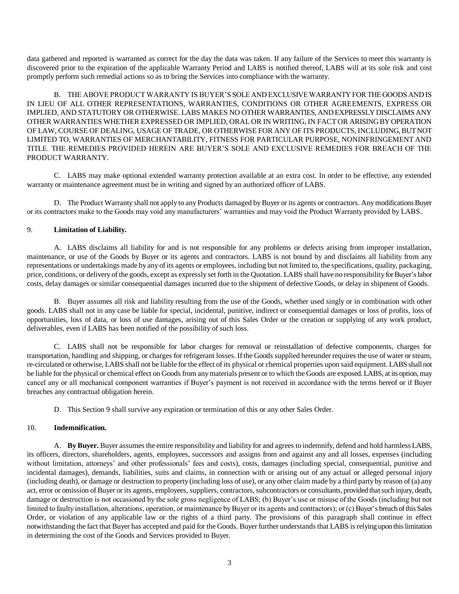data gathered and reported is warranted as correct for the day the data was taken. If any failure of the Services to meet this warranty is discovered prior to the expiration of the applicable Warranty Period and LABS is notified thereof, LABS will at its sole risk and cost promptly perform such remedial actions so as to bring the Services into compliance with the warranty.

B. THE ABOVE PRODUCT WARRANTY IS BUYER'S SOLE AND EXCLUSIVE WARRANTY FOR THE GOODS AND IS IN LIEU OF ALL OTHER REPRESENTATIONS, WARRANTIES, CONDITIONS OR OTHER AGREEMENTS, EXPRESS OR IMPLIED, AND STATUTORY OR OTHERWISE. LABS MAKES NO OTHER WARRANTIES, AND EXPRESSLY DISCLAIMS ANY OTHER WARRANTIES WHETHER EXPRESSED OR IMPLIED, ORAL OR IN WRITING, IN FACT OR ARISING BY OPERATION OF LAW, COURSE OF DEALING, USAGE OF TRADE, OR OTHERWISE FOR ANY OF ITS PRODUCTS, INCLUDING, BUT NOT LIMITED TO, WARRANTIES OF MERCHANTABILITY, FITNESS FOR PARTICULAR PURPOSE, NONINFRINGEMENT AND TITLE. THE REMEDIES PROVIDED HEREIN ARE BUYER'S SOLE AND EXCLUSIVE REMEDIES FOR BREACH OF THE PRODUCT WARRANTY.

C. LABS may make optional extended warranty protection available at an extra cost. In order to be effective, any extended warranty or maintenance agreement must be in writing and signed by an authorized officer of LABS.

D. The Product Warranty shall not apply to any Products damaged by Buyer or its agents or contractors. Any modifications Buyer or its contractors make to the Goods may void any manufacturers' warranties and may void the Product Warranty provided by LABS.

### 9. **Limitation of Liability.**

A. LABS disclaims all liability for and is not responsible for any problems or defects arising from improper installation, maintenance, or use of the Goods by Buyer or its agents and contractors. LABS is not bound by and disclaims all liability from any representations or undertakings made by any of its agents or employees, including but not limited to, the specifications, quality, packaging, price, conditions, or delivery of the goods, except as expressly set forth in the Quotation. LABS shall have no responsibility for Buyer's labor costs, delay damages or similar consequential damages incurred due to the shipment of defective Goods, or delay in shipment of Goods.

B. Buyer assumes all risk and liability resulting from the use of the Goods, whether used singly or in combination with other goods. LABS shall not in any case be liable for special, incidental, punitive, indirect or consequential damages or loss of profits, loss of opportunities, loss of data, or loss of use damages, arising out of this Sales Order or the creation or supplying of any work product, deliverables, even if LABS has been notified of the possibility of such loss.

C. LABS shall not be responsible for labor charges for removal or reinstallation of defective components, charges for transportation, handling and shipping, or charges for refrigerant losses. If the Goods supplied hereunder requires the use of water or steam, re-circulated or otherwise, LABS shall not be liable for the effect of its physical or chemical properties upon said equipment. LABS shall not be liable for the physical or chemical effect on Goods from any materials present or to which the Goods are exposed. LABS, atits option, may cancel any or all mechanical component warranties if Buyer's payment is not received in accordance with the terms hereof or if Buyer breaches any contractual obligation herein.

D. This Section 9 shall survive any expiration or termination of this or any other Sales Order.

## 10. **Indemnification.**

A. **By Buyer.** Buyer assumes the entire responsibility and liability for and agrees to indemnify, defend and hold harmless LABS, its officers, directors, shareholders, agents, employees, successors and assigns from and against any and all losses, expenses (including without limitation, attorneys' and other professionals' fees and costs), costs, damages (including special, consequential, punitive and incidental damages), demands, liabilities, suits and claims, in connection with or arising out of any actual or alleged personal injury (including death), or damage or destruction to property (including loss of use), or any other claim made by a third party by reason of (a) any act, error or omission of Buyer or its agents, employees, suppliers, contractors, subcontractors or consultants, provided that such injury, death, damage or destruction is not occasioned by the sole gross negligence of LABS; (b) Buyer's use or misuse of the Goods (including but not limited to faulty installation, alterations, operation, or maintenance by Buyer or its agents and contractors); or (c) Buyer's breach of this Sales Order, or violation of any applicable law or the rights of a third party. The provisions of this paragraph shall continue in effect notwithstanding the fact that Buyer has accepted and paid for the Goods. Buyer further understands that LABS is relying upon this limitation in determining the cost of the Goods and Services provided to Buyer.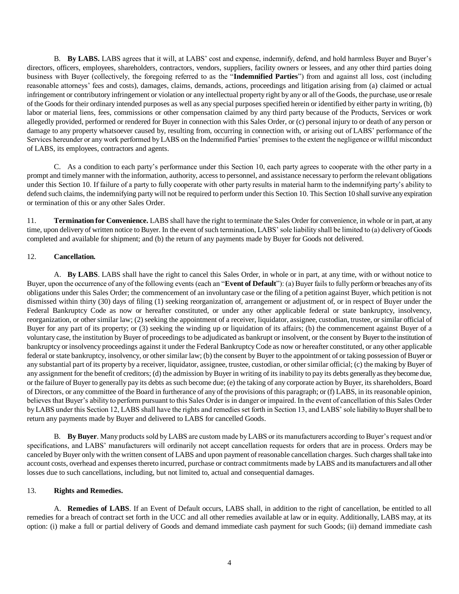B. **By LABS.** LABS agrees that it will, at LABS' cost and expense, indemnify, defend, and hold harmless Buyer and Buyer's directors, officers, employees, shareholders, contractors, vendors, suppliers, facility owners or lessees, and any other third parties doing business with Buyer (collectively, the foregoing referred to as the "**Indemnified Parties**") from and against all loss, cost (including reasonable attorneys' fees and costs), damages, claims, demands, actions, proceedings and litigation arising from (a) claimed or actual infringement or contributory infringement or violation or any intellectual property right by any or all of the Goods, the purchase, use or resale of the Goods for their ordinary intended purposes as well as any special purposes specified herein or identified by either party in writing, (b) labor or material liens, fees, commissions or other compensation claimed by any third party because of the Products, Services or work allegedly provided, performed or rendered for Buyer in connection with this Sales Order, or (c) personal injury to or death of any person or damage to any property whatsoever caused by, resulting from, occurring in connection with, or arising out of LABS' performance of the Services hereunder or any work performed by LABS on the Indemnified Parties' premises to the extent the negligence or willful misconduct of LABS, its employees, contractors and agents.

C. As a condition to each party's performance under this Section 10, each party agrees to cooperate with the other party in a prompt and timely manner with the information, authority, access to personnel, and assistance necessary to perform the relevant obligations under this Section 10. If failure of a party to fully cooperate with other party results in material harm to the indemnifying party's ability to defend such claims, the indemnifying party will not be required to perform under this Section 10. This Section 10 shall survive any expiration or termination of this or any other Sales Order.

11. **Termination for Convenience.** LABS shall have the right to terminate the Sales Order for convenience, in whole or in part, at any time, upon delivery of written notice to Buyer. In the event of such termination, LABS' sole liability shall be limited to (a) delivery of Goods completed and available for shipment; and (b) the return of any payments made by Buyer for Goods not delivered.

### 12. **Cancellation.**

A. **By LABS**. LABS shall have the right to cancel this Sales Order, in whole or in part, at any time, with or without notice to Buyer, upon the occurrence of any of the following events (each an "**Event of Default**"): (a) Buyer fails to fully perform or breaches any of its obligations under this Sales Order; the commencement of an involuntary case or the filing of a petition against Buyer, which petition is not dismissed within thirty (30) days of filing (1) seeking reorganization of, arrangement or adjustment of, or in respect of Buyer under the Federal Bankruptcy Code as now or hereafter constituted, or under any other applicable federal or state bankruptcy, insolvency, reorganization, or other similar law; (2) seeking the appointment of a receiver, liquidator, assignee, custodian, trustee, or similar official of Buyer for any part of its property; or (3) seeking the winding up or liquidation of its affairs; (b) the commencement against Buyer of a voluntary case, the institution by Buyer of proceedings to be adjudicated as bankrupt or insolvent, or the consent by Buyer to the institution of bankruptcy or insolvency proceedings against it under the Federal Bankruptcy Code as now or hereafter constituted, or any other applicable federal or state bankruptcy, insolvency, or other similar law; (b) the consent by Buyer to the appointment of or taking possession of Buyer or any substantial part of its property by a receiver, liquidator, assignee, trustee, custodian, or other similar official; (c) the making by Buyer of any assignment for the benefit of creditors; (d) the admission by Buyer in writing of its inability to pay its debts generally as they become due, or the failure of Buyer to generally pay its debts as such become due; (e) the taking of any corporate action by Buyer, its shareholders, Board of Directors, or any committee of the Board in furtherance of any of the provisions of this paragraph; or (f) LABS, in its reasonable opinion, believes that Buyer's ability to perform pursuant to this Sales Order is in danger or impaired. In the event of cancellation of this Sales Order by LABS under this Section 12, LABS shall have the rights and remedies set forth in Section 13, and LABS' sole liability to Buyer shall be to return any payments made by Buyer and delivered to LABS for cancelled Goods.

B. **By Buyer**. Many products sold by LABS are custom made by LABS or its manufacturers according to Buyer's request and/or specifications, and LABS' manufacturers will ordinarily not accept cancellation requests for orders that are in process. Orders may be canceled by Buyer only with the written consent of LABS and upon payment of reasonable cancellation charges. Such charges shall take into account costs, overhead and expenses thereto incurred, purchase or contract commitments made by LABS and its manufacturers and all other losses due to such cancellations, including, but not limited to, actual and consequential damages.

## 13. **Rights and Remedies.**

A. **Remedies of LABS**. If an Event of Default occurs, LABS shall, in addition to the right of cancellation, be entitled to all remedies for a breach of contract set forth in the UCC and all other remedies available at law or in equity. Additionally, LABS may, at its option: (i) make a full or partial delivery of Goods and demand immediate cash payment for such Goods; (ii) demand immediate cash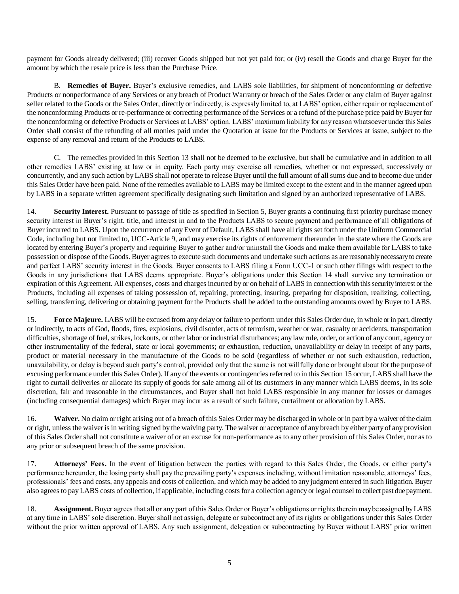payment for Goods already delivered; (iii) recover Goods shipped but not yet paid for; or (iv) resell the Goods and charge Buyer for the amount by which the resale price is less than the Purchase Price.

B. **Remedies of Buyer.** Buyer's exclusive remedies, and LABS sole liabilities, for shipment of nonconforming or defective Products or nonperformance of any Services or any breach of Product Warranty or breach of the Sales Order or any claim of Buyer against seller related to the Goods or the Sales Order, directly or indirectly, is expressly limited to, at LABS' option, either repair or replacement of the nonconforming Products or re-performance or correcting performance of the Services or a refund of the purchase price paid by Buyer for the nonconforming or defective Products or Services at LABS' option. LABS' maximum liability for any reason whatsoever under this Sales Order shall consist of the refunding of all monies paid under the Quotation at issue for the Products or Services at issue, subject to the expense of any removal and return of the Products to LABS.

C. The remedies provided in this Section 13 shall not be deemed to be exclusive, but shall be cumulative and in addition to all other remedies LABS' existing at law or in equity. Each party may exercise all remedies, whether or not expressed, successively or concurrently, and any such action by LABS shall not operate to release Buyer until the full amount of all sums due and to become due under this Sales Order have been paid. None of the remedies available to LABS may be limited except to the extent and in the manner agreed upon by LABS in a separate written agreement specifically designating such limitation and signed by an authorized representative of LABS.

14. **Security Interest.** Pursuant to passage of title as specified in Section 5, Buyer grants a continuing first priority purchase money security interest in Buyer's right, title, and interest in and to the Products LABS to secure payment and performance of all obligations of Buyer incurred to LABS. Upon the occurrence of any Event of Default, LABS shall have all rights set forth under the Uniform Commercial Code, including but not limited to, UCC-Article 9, and may exercise its rights of enforcement thereunder in the state where the Goods are located by entering Buyer's property and requiring Buyer to gather and/or uninstall the Goods and make them available for LABS to take possession or dispose of the Goods. Buyer agrees to execute such documents and undertake such actions as are reasonably necessary to create and perfect LABS' security interest in the Goods. Buyer consents to LABS filing a Form UCC-1 or such other filings with respect to the Goods in any jurisdictions that LABS deems appropriate. Buyer's obligations under this Section 14 shall survive any termination or expiration of this Agreement. All expenses, costs and charges incurred by or on behalf of LABS in connection with this security interest or the Products, including all expenses of taking possession of, repairing, protecting, insuring, preparing for disposition, realizing, collecting, selling, transferring, delivering or obtaining payment for the Products shall be added to the outstanding amounts owed by Buyer to LABS.

15. **Force Majeure.** LABS will be excused from any delay or failure to perform under this Sales Order due, in whole or in part, directly or indirectly, to acts of God, floods, fires, explosions, civil disorder, acts of terrorism, weather or war, casualty or accidents, transportation difficulties, shortage of fuel, strikes, lockouts, or other labor or industrial disturbances; any law rule, order, or action of any court, agency or other instrumentality of the federal, state or local governments; or exhaustion, reduction, unavailability or delay in receipt of any parts, product or material necessary in the manufacture of the Goods to be sold (regardless of whether or not such exhaustion, reduction, unavailability, or delay is beyond such party's control, provided only that the same is not willfully done or brought about for the purpose of excusing performance under this Sales Order). If any of the events or contingencies referred to in this Section 15 occur, LABS shall have the right to curtail deliveries or allocate its supply of goods for sale among all of its customers in any manner which LABS deems, in its sole discretion, fair and reasonable in the circumstances, and Buyer shall not hold LABS responsible in any manner for losses or damages (including consequential damages) which Buyer may incur as a result of such failure, curtailment or allocation by LABS.

16. **Waiver.** No claim or right arising out of a breach of this Sales Order may be discharged in whole or in part by a waiver of the claim or right, unless the waiver is in writing signed by the waiving party. The waiver or acceptance of any breach by either party of any provision of this Sales Order shall not constitute a waiver of or an excuse for non-performance as to any other provision of this Sales Order, nor as to any prior or subsequent breach of the same provision.

17. **Attorneys' Fees.** In the event of litigation between the parties with regard to this Sales Order, the Goods, or either party's performance hereunder, the losing party shall pay the prevailing party's expenses including, without limitation reasonable, attorneys' fees, professionals' fees and costs, any appeals and costs of collection, and which may be added to any judgment entered in such litigation. Buyer also agrees to pay LABS costs of collection, if applicable, including costs for a collection agency or legal counsel to collect past due payment.

18. **Assignment.** Buyer agrees that all or any part of this Sales Order or Buyer's obligations or rights therein may be assigned by LABS at any time in LABS' sole discretion. Buyer shall not assign, delegate or subcontract any of its rights or obligations under this Sales Order without the prior written approval of LABS. Any such assignment, delegation or subcontracting by Buyer without LABS' prior written